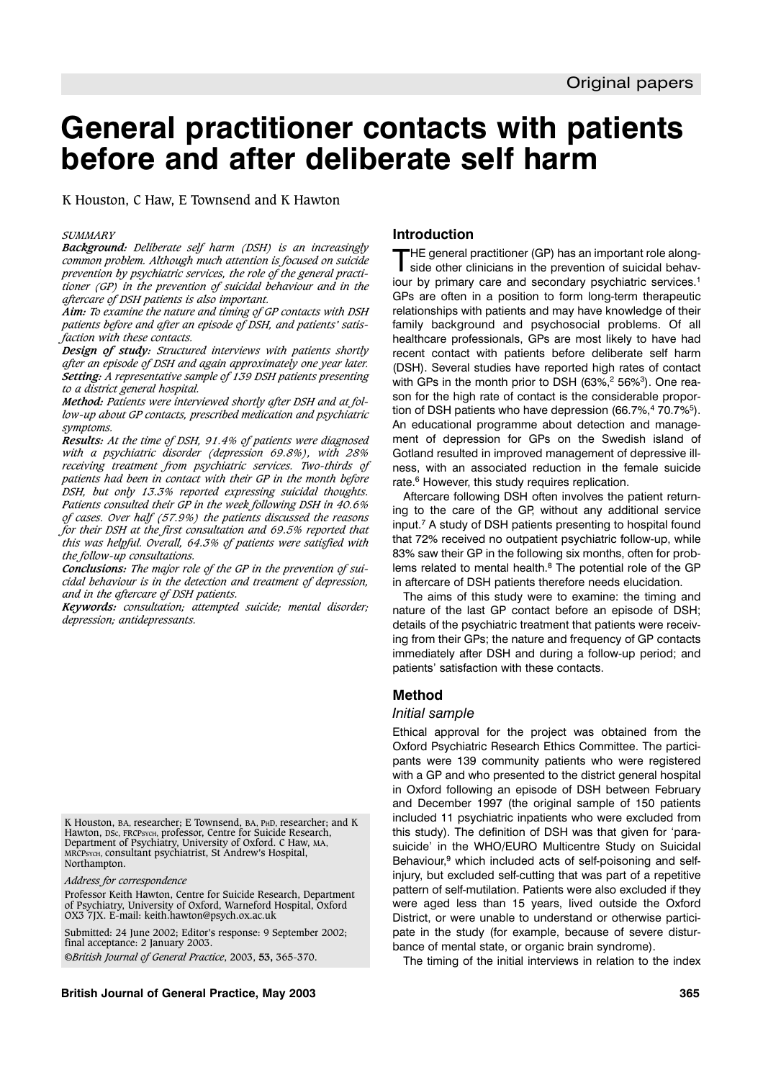# **General practitioner contacts with patients before and after deliberate self harm**

K Houston, C Haw, E Townsend and K Hawton

#### *SUMMARY*

*Background: Deliberate self harm (DSH) is an increasingly common problem. Although much attention is focused on suicide prevention by psychiatric services, the role of the general practitioner (GP) in the prevention of suicidal behaviour and in the aftercare of DSH patients is also important.*

*Aim: To examine the nature and timing of GP contacts with DSH patients before and after an episode of DSH, and patients' satisfaction with these contacts.*

*Design of study: Structured interviews with patients shortly after an episode of DSH and again approximately one year later. Setting: A representative sample of 139 DSH patients presenting to a district general hospital.*

*Method: Patients were interviewed shortly after DSH and at follow-up about GP contacts, prescribed medication and psychiatric symptoms.*

*Results: At the time of DSH, 91.4% of patients were diagnosed with a psychiatric disorder (depression 69.8%), with 28% receiving treatment from psychiatric services. Two-thirds of patients had been in contact with their GP in the month before DSH, but only 13.3% reported expressing suicidal thoughts. Patients consulted their GP in the week following DSH in 40.6% of cases. Over half (57.9%) the patients discussed the reasons for their DSH at the first consultation and 69.5% reported that this was helpful. Overall, 64.3% of patients were satisfied with the follow-up consultations.*

*Conclusions: The major role of the GP in the prevention of suicidal behaviour is in the detection and treatment of depression, and in the aftercare of DSH patients.*

*Keywords: consultation; attempted suicide; mental disorder; depression; antidepressants.*

K Houston, BA, researcher; E Townsend, BA, PHD, researcher; and K Hawton, DSC, FRCPSYCH, professor, Centre for Suicide Research, Department of Psychiatry, University of Oxford. C Haw, MA, MRCPSYCH, consultant psychiatrist, St Andrew's Hospital, Northampton.

*Address for correspondence*

Professor Keith Hawton, Centre for Suicide Research, Department of Psychiatry, University of Oxford, Warneford Hospital, Oxford OX3 7JX. E-mail: keith.hawton@psych.ox.ac.uk

Submitted: 24 June 2002; Editor's response: 9 September 2002; final acceptance: 2 January 2003. ©*British Journal of General Practice*, 2003, **53,** 365-370.

#### **Introduction**

THE general practitioner (GP) has an important role alongside other clinicians in the prevention of suicidal behaviour by primary care and secondary psychiatric services.<sup>1</sup> GPs are often in a position to form long-term therapeutic relationships with patients and may have knowledge of their family background and psychosocial problems. Of all healthcare professionals, GPs are most likely to have had recent contact with patients before deliberate self harm (DSH). Several studies have reported high rates of contact with GPs in the month prior to DSH  $(63\%,^2 56\%)$ . One reason for the high rate of contact is the considerable proportion of DSH patients who have depression (66.7%,<sup>4</sup> 70.7%<sup>5</sup>). An educational programme about detection and management of depression for GPs on the Swedish island of Gotland resulted in improved management of depressive illness, with an associated reduction in the female suicide rate.<sup>6</sup> However, this study requires replication.

Aftercare following DSH often involves the patient returning to the care of the GP, without any additional service input.7 A study of DSH patients presenting to hospital found that 72% received no outpatient psychiatric follow-up, while 83% saw their GP in the following six months, often for problems related to mental health.<sup>8</sup> The potential role of the GP in aftercare of DSH patients therefore needs elucidation.

The aims of this study were to examine: the timing and nature of the last GP contact before an episode of DSH; details of the psychiatric treatment that patients were receiving from their GPs; the nature and frequency of GP contacts immediately after DSH and during a follow-up period; and patients' satisfaction with these contacts.

#### **Method**

#### *Initial sample*

Ethical approval for the project was obtained from the Oxford Psychiatric Research Ethics Committee. The participants were 139 community patients who were registered with a GP and who presented to the district general hospital in Oxford following an episode of DSH between February and December 1997 (the original sample of 150 patients included 11 psychiatric inpatients who were excluded from this study). The definition of DSH was that given for 'parasuicide' in the WHO/EURO Multicentre Study on Suicidal Behaviour,<sup>9</sup> which included acts of self-poisoning and selfinjury, but excluded self-cutting that was part of a repetitive pattern of self-mutilation. Patients were also excluded if they were aged less than 15 years, lived outside the Oxford District, or were unable to understand or otherwise participate in the study (for example, because of severe disturbance of mental state, or organic brain syndrome).

The timing of the initial interviews in relation to the index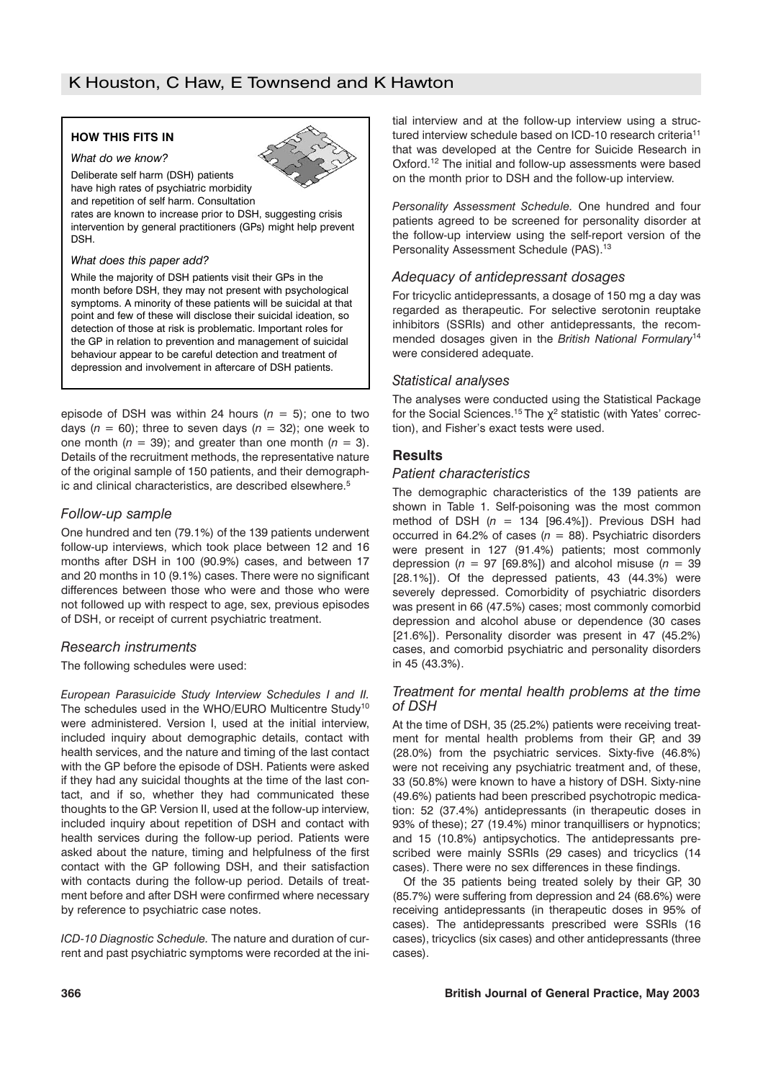# **HOW THIS FITS IN**

*What do we know?*

Deliberate self harm (DSH) patients have high rates of psychiatric morbidity

and repetition of self harm. Consultation

rates are known to increase prior to DSH, suggesting crisis intervention by general practitioners (GPs) might help prevent DSH.

#### *What does this paper add?*

While the majority of DSH patients visit their GPs in the month before DSH, they may not present with psychological symptoms. A minority of these patients will be suicidal at that point and few of these will disclose their suicidal ideation, so detection of those at risk is problematic. Important roles for the GP in relation to prevention and management of suicidal behaviour appear to be careful detection and treatment of depression and involvement in aftercare of DSH patients.

episode of DSH was within 24 hours  $(n = 5)$ ; one to two days  $(n = 60)$ ; three to seven days  $(n = 32)$ ; one week to one month  $(n = 39)$ ; and greater than one month  $(n = 3)$ . Details of the recruitment methods, the representative nature of the original sample of 150 patients, and their demographic and clinical characteristics, are described elsewhere.<sup>5</sup>

# *Follow-up sample*

One hundred and ten (79.1%) of the 139 patients underwent follow-up interviews, which took place between 12 and 16 months after DSH in 100 (90.9%) cases, and between 17 and 20 months in 10 (9.1%) cases. There were no significant differences between those who were and those who were not followed up with respect to age, sex, previous episodes of DSH, or receipt of current psychiatric treatment.

# *Research instruments*

The following schedules were used:

*European Parasuicide Study Interview Schedules I and II.* The schedules used in the WHO/EURO Multicentre Study<sup>10</sup> were administered. Version I, used at the initial interview, included inquiry about demographic details, contact with health services, and the nature and timing of the last contact with the GP before the episode of DSH. Patients were asked if they had any suicidal thoughts at the time of the last contact, and if so, whether they had communicated these thoughts to the GP. Version II, used at the follow-up interview, included inquiry about repetition of DSH and contact with health services during the follow-up period. Patients were asked about the nature, timing and helpfulness of the first contact with the GP following DSH, and their satisfaction with contacts during the follow-up period. Details of treatment before and after DSH were confirmed where necessary by reference to psychiatric case notes.

*ICD-10 Diagnostic Schedule.* The nature and duration of current and past psychiatric symptoms were recorded at the initial interview and at the follow-up interview using a structured interview schedule based on ICD-10 research criteria<sup>11</sup> that was developed at the Centre for Suicide Research in Oxford.12 The initial and follow-up assessments were based on the month prior to DSH and the follow-up interview.

*Personality Assessment Schedule.* One hundred and four patients agreed to be screened for personality disorder at the follow-up interview using the self-report version of the Personality Assessment Schedule (PAS).<sup>13</sup>

# *Adequacy of antidepressant dosages*

For tricyclic antidepressants, a dosage of 150 mg a day was regarded as therapeutic. For selective serotonin reuptake inhibitors (SSRIs) and other antidepressants, the recommended dosages given in the *British National Formulary*<sup>14</sup> were considered adequate.

# *Statistical analyses*

The analyses were conducted using the Statistical Package for the Social Sciences.<sup>15</sup> The  $\chi^2$  statistic (with Yates' correction), and Fisher's exact tests were used.

# **Results**

## *Patient characteristics*

The demographic characteristics of the 139 patients are shown in Table 1. Self-poisoning was the most common method of DSH (*n* = 134 [96.4%]). Previous DSH had occurred in 64.2% of cases  $(n = 88)$ . Psychiatric disorders were present in 127 (91.4%) patients; most commonly depression ( $n = 97$  [69.8%]) and alcohol misuse ( $n = 39$ [28.1%]). Of the depressed patients, 43 (44.3%) were severely depressed. Comorbidity of psychiatric disorders was present in 66 (47.5%) cases; most commonly comorbid depression and alcohol abuse or dependence (30 cases [21.6%]). Personality disorder was present in 47 (45.2%) cases, and comorbid psychiatric and personality disorders in 45 (43.3%).

## *Treatment for mental health problems at the time of DSH*

At the time of DSH, 35 (25.2%) patients were receiving treatment for mental health problems from their GP, and 39 (28.0%) from the psychiatric services. Sixty-five (46.8%) were not receiving any psychiatric treatment and, of these, 33 (50.8%) were known to have a history of DSH. Sixty-nine (49.6%) patients had been prescribed psychotropic medication: 52 (37.4%) antidepressants (in therapeutic doses in 93% of these); 27 (19.4%) minor tranquillisers or hypnotics; and 15 (10.8%) antipsychotics. The antidepressants prescribed were mainly SSRIs (29 cases) and tricyclics (14 cases). There were no sex differences in these findings.

Of the 35 patients being treated solely by their GP, 30 (85.7%) were suffering from depression and 24 (68.6%) were receiving antidepressants (in therapeutic doses in 95% of cases). The antidepressants prescribed were SSRIs (16 cases), tricyclics (six cases) and other antidepressants (three cases).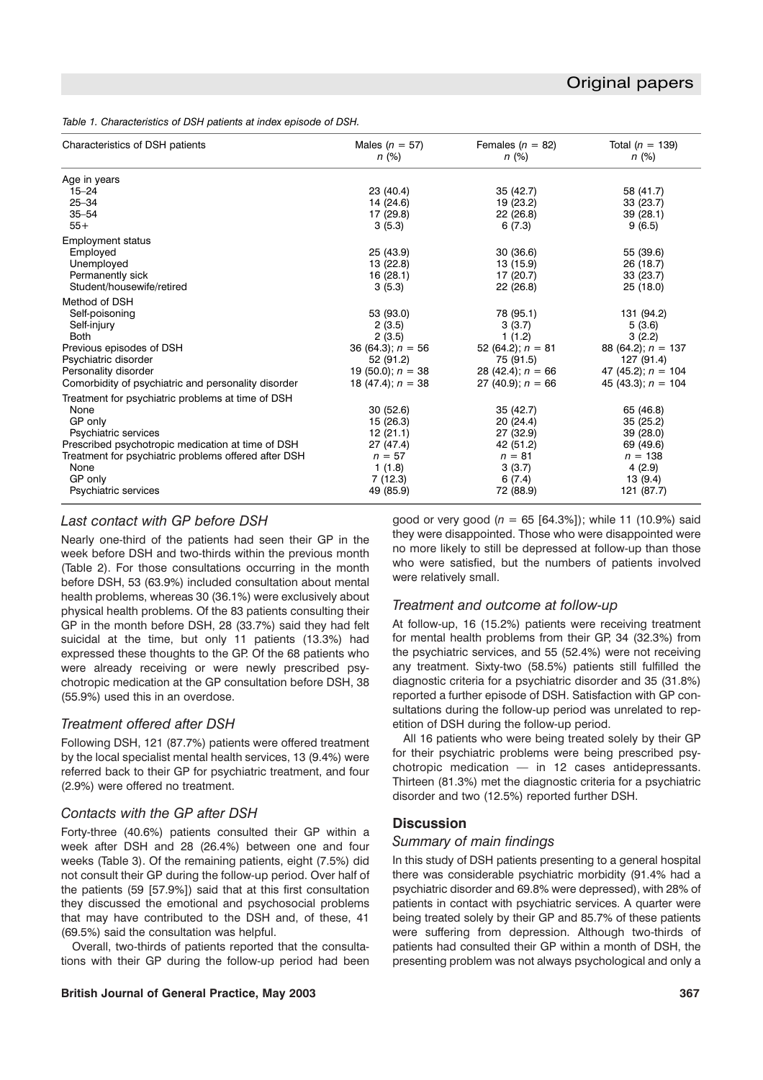*Table 1. Characteristics of DSH patients at index episode of DSH.*

| Characteristics of DSH patients                      | Males $(n = 57)$<br>$n (\%)$ | Females ( $n = 82$ )<br>n (%) | Total ( $n = 139$ )<br>$n (\%)$ |
|------------------------------------------------------|------------------------------|-------------------------------|---------------------------------|
| Age in years                                         |                              |                               |                                 |
| $15 - 24$                                            | 23 (40.4)                    | 35(42.7)                      | 58 (41.7)                       |
| $25 - 34$                                            | 14 (24.6)                    | 19 (23.2)                     | 33(23.7)                        |
| $35 - 54$                                            | 17 (29.8)                    | 22 (26.8)                     | 39(28.1)                        |
| $55+$                                                | 3(5.3)                       | 6(7.3)                        | 9(6.5)                          |
| <b>Employment status</b>                             |                              |                               |                                 |
| Employed                                             | 25 (43.9)                    | 30(36.6)                      | 55 (39.6)                       |
| Unemployed                                           | 13 (22.8)                    | 13 (15.9)                     | 26 (18.7)                       |
| Permanently sick                                     | 16(28.1)                     | 17 (20.7)                     | 33(23.7)                        |
| Student/housewife/retired                            | 3(5.3)                       | 22(26.8)                      | 25(18.0)                        |
| Method of DSH                                        |                              |                               |                                 |
| Self-poisoning                                       | 53 (93.0)                    | 78 (95.1)                     | 131 (94.2)                      |
| Self-injury                                          | 2(3.5)                       | 3(3.7)                        | 5(3.6)                          |
| <b>Both</b>                                          | 2(3.5)                       | 1(1.2)                        | 3(2.2)                          |
| Previous episodes of DSH                             | 36 (64.3); $n = 56$          | 52 (64.2); $n = 81$           | 88 (64.2); $n = 137$            |
| Psychiatric disorder                                 | 52 (91.2)                    | 75 (91.5)                     | 127 (91.4)                      |
| Personality disorder                                 | 19 (50.0); $n = 38$          | 28 (42.4); $n = 66$           | 47 (45.2); $n = 104$            |
| Comorbidity of psychiatric and personality disorder  | 18 (47.4); $n = 38$          | 27 (40.9); $n = 66$           | 45 (43.3); $n = 104$            |
| Treatment for psychiatric problems at time of DSH    |                              |                               |                                 |
| None                                                 | 30(52.6)                     | 35(42.7)                      | 65 (46.8)                       |
| GP only                                              | 15 (26.3)                    | 20(24.4)                      | 35(25.2)                        |
| Psychiatric services                                 | 12(21.1)                     | 27 (32.9)                     | 39 (28.0)                       |
| Prescribed psychotropic medication at time of DSH    | 27 (47.4)                    | 42 (51.2)                     | 69 (49.6)                       |
| Treatment for psychiatric problems offered after DSH | $n = 57$                     | $n = 81$                      | $n = 138$                       |
| None                                                 | 1(1.8)                       | 3(3.7)                        | 4(2.9)                          |
| GP only                                              | 7(12.3)                      | 6(7.4)                        | 13 (9.4)                        |
| <b>Psychiatric services</b>                          | 49 (85.9)                    | 72 (88.9)                     | 121 (87.7)                      |
|                                                      |                              |                               |                                 |

# *Last contact with GP before DSH*

Nearly one-third of the patients had seen their GP in the week before DSH and two-thirds within the previous month (Table 2). For those consultations occurring in the month before DSH, 53 (63.9%) included consultation about mental health problems, whereas 30 (36.1%) were exclusively about physical health problems. Of the 83 patients consulting their GP in the month before DSH, 28 (33.7%) said they had felt suicidal at the time, but only 11 patients (13.3%) had expressed these thoughts to the GP. Of the 68 patients who were already receiving or were newly prescribed psychotropic medication at the GP consultation before DSH, 38 (55.9%) used this in an overdose.

# *Treatment offered after DSH*

Following DSH, 121 (87.7%) patients were offered treatment by the local specialist mental health services, 13 (9.4%) were referred back to their GP for psychiatric treatment, and four (2.9%) were offered no treatment.

# *Contacts with the GP after DSH*

Forty-three (40.6%) patients consulted their GP within a week after DSH and 28 (26.4%) between one and four weeks (Table 3). Of the remaining patients, eight (7.5%) did not consult their GP during the follow-up period. Over half of the patients (59 [57.9%]) said that at this first consultation they discussed the emotional and psychosocial problems that may have contributed to the DSH and, of these, 41 (69.5%) said the consultation was helpful.

Overall, two-thirds of patients reported that the consultations with their GP during the follow-up period had been

#### **British Journal of General Practice, May 2003 367**

good or very good (*n* = 65 [64.3%]); while 11 (10.9%) said they were disappointed. Those who were disappointed were no more likely to still be depressed at follow-up than those who were satisfied, but the numbers of patients involved were relatively small.

# *Treatment and outcome at follow-up*

At follow-up, 16 (15.2%) patients were receiving treatment for mental health problems from their GP, 34 (32.3%) from the psychiatric services, and 55 (52.4%) were not receiving any treatment. Sixty-two (58.5%) patients still fulfilled the diagnostic criteria for a psychiatric disorder and 35 (31.8%) reported a further episode of DSH. Satisfaction with GP consultations during the follow-up period was unrelated to repetition of DSH during the follow-up period.

All 16 patients who were being treated solely by their GP for their psychiatric problems were being prescribed psychotropic medication — in 12 cases antidepressants. Thirteen (81.3%) met the diagnostic criteria for a psychiatric disorder and two (12.5%) reported further DSH.

# **Discussion**

# *Summary of main findings*

In this study of DSH patients presenting to a general hospital there was considerable psychiatric morbidity (91.4% had a psychiatric disorder and 69.8% were depressed), with 28% of patients in contact with psychiatric services. A quarter were being treated solely by their GP and 85.7% of these patients were suffering from depression. Although two-thirds of patients had consulted their GP within a month of DSH, the presenting problem was not always psychological and only a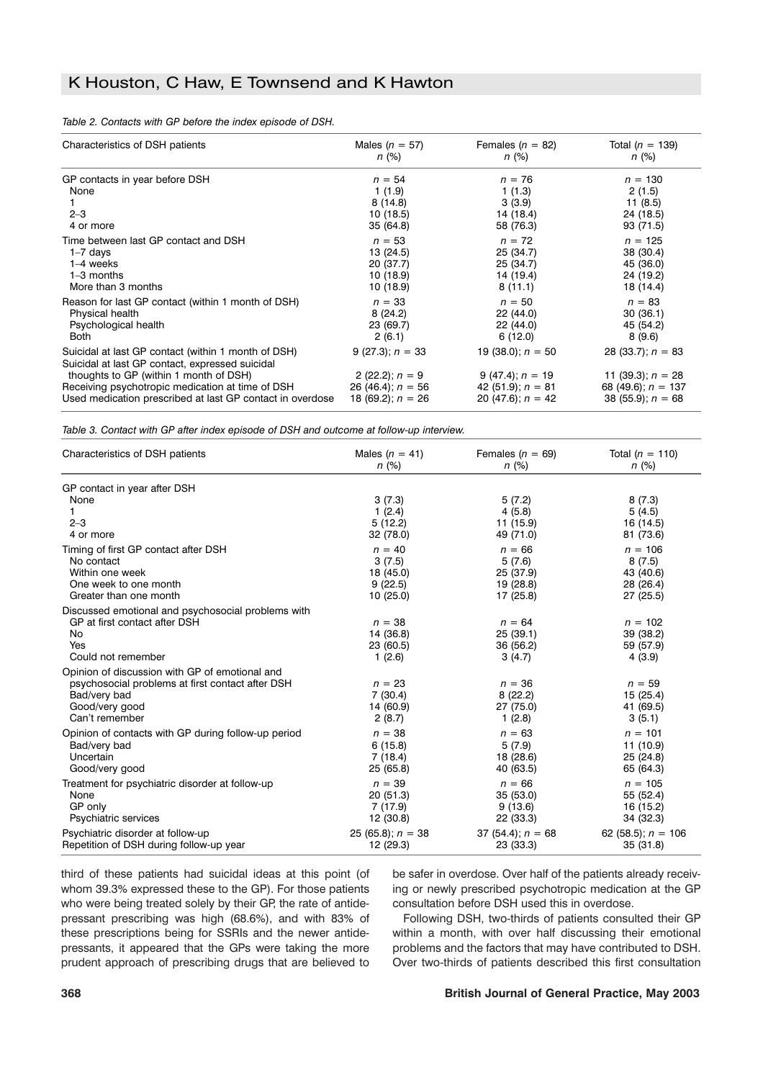#### *Table 2. Contacts with GP before the index episode of DSH.*

| Characteristics of DSH patients                                                                                                                                                                                                                                   | Males ( $n = 57$ )                                                                    | Females ( $n = 82$ )                                                                   | Total ( $n = 139$ )                                                                       |  |
|-------------------------------------------------------------------------------------------------------------------------------------------------------------------------------------------------------------------------------------------------------------------|---------------------------------------------------------------------------------------|----------------------------------------------------------------------------------------|-------------------------------------------------------------------------------------------|--|
|                                                                                                                                                                                                                                                                   | $n (\%)$                                                                              | n (%)                                                                                  | $n (\%)$                                                                                  |  |
| GP contacts in year before DSH<br>None<br>$2 - 3$<br>4 or more                                                                                                                                                                                                    | $n = 54$<br>1(1.9)<br>8(14.8)<br>10(18.5)<br>35 (64.8)                                | $n = 76$<br>1(1.3)<br>3(3.9)<br>14 (18.4)<br>58 (76.3)                                 | $n = 130$<br>2(1.5)<br>11(8.5)<br>24 (18.5)<br>93 (71.5)                                  |  |
| Time between last GP contact and DSH                                                                                                                                                                                                                              | $n = 53$                                                                              | $n = 72$                                                                               | $n = 125$                                                                                 |  |
| $1 - 7$ days                                                                                                                                                                                                                                                      | 13 (24.5)                                                                             | 25 (34.7)                                                                              | 38 (30.4)                                                                                 |  |
| $1-4$ weeks                                                                                                                                                                                                                                                       | 20 (37.7)                                                                             | 25 (34.7)                                                                              | 45 (36.0)                                                                                 |  |
| $1-3$ months                                                                                                                                                                                                                                                      | 10 (18.9)                                                                             | 14 (19.4)                                                                              | 24 (19.2)                                                                                 |  |
| More than 3 months                                                                                                                                                                                                                                                | 10 (18.9)                                                                             | 8(11.1)                                                                                | 18 (14.4)                                                                                 |  |
| Reason for last GP contact (within 1 month of DSH)                                                                                                                                                                                                                | $n = 33$                                                                              | $n = 50$                                                                               | $n = 83$                                                                                  |  |
| Physical health                                                                                                                                                                                                                                                   | 8(24.2)                                                                               | 22 (44.0)                                                                              | 30(36.1)                                                                                  |  |
| Psychological health                                                                                                                                                                                                                                              | 23 (69.7)                                                                             | 22 (44.0)                                                                              | 45 (54.2)                                                                                 |  |
| <b>Both</b>                                                                                                                                                                                                                                                       | 2(6.1)                                                                                | 6(12.0)                                                                                | 8(9.6)                                                                                    |  |
| Suicidal at last GP contact (within 1 month of DSH)<br>Suicidal at last GP contact, expressed suicidal<br>thoughts to GP (within 1 month of DSH)<br>Receiving psychotropic medication at time of DSH<br>Used medication prescribed at last GP contact in overdose | 9 (27.3); $n = 33$<br>2 (22.2); $n = 9$<br>26 (46.4); $n = 56$<br>18 (69.2); $n = 26$ | 19 (38.0); $n = 50$<br>$9(47.4); n = 19$<br>42 (51.9); $n = 81$<br>20 (47.6); $n = 42$ | 28 (33.7); $n = 83$<br>11 (39.3); $n = 28$<br>68 (49.6); $n = 137$<br>38 (55.9); $n = 68$ |  |

*Table 3. Contact with GP after index episode of DSH and outcome at follow-up interview.*

| Characteristics of DSH patients                                                                                                                        | Males $(n = 41)$                             | Females $(n = 69)$                          | Total $(n = 110)$                             |
|--------------------------------------------------------------------------------------------------------------------------------------------------------|----------------------------------------------|---------------------------------------------|-----------------------------------------------|
|                                                                                                                                                        | $n (\%)$                                     | n (%)                                       | $n$ (%)                                       |
| GP contact in year after DSH<br>None<br>1<br>$2 - 3$<br>4 or more                                                                                      | 3(7.3)<br>1(2.4)<br>5(12.2)<br>32 (78.0)     | 5(7.2)<br>4(5.8)<br>11 (15.9)<br>49 (71.0)  | 8(7.3)<br>5(4.5)<br>16 (14.5)<br>81 (73.6)    |
| Timing of first GP contact after DSH                                                                                                                   | $n = 40$                                     | $n = 66$                                    | $n = 106$                                     |
| No contact                                                                                                                                             | 3(7.5)                                       | 5(7.6)                                      | 8(7.5)                                        |
| Within one week                                                                                                                                        | 18 (45.0)                                    | 25 (37.9)                                   | 43 (40.6)                                     |
| One week to one month                                                                                                                                  | 9(22.5)                                      | 19 (28.8)                                   | 28 (26.4)                                     |
| Greater than one month                                                                                                                                 | 10(25.0)                                     | 17 (25.8)                                   | 27 (25.5)                                     |
| Discussed emotional and psychosocial problems with<br>GP at first contact after DSH<br>No<br>Yes<br>Could not remember                                 | $n = 38$<br>14 (36.8)<br>23 (60.5)<br>1(2.6) | $n = 64$<br>25(39.1)<br>36 (56.2)<br>3(4.7) | $n = 102$<br>39 (38.2)<br>59 (57.9)<br>4(3.9) |
| Opinion of discussion with GP of emotional and<br>psychosocial problems at first contact after DSH<br>Bad/very bad<br>Good/very good<br>Can't remember | $n = 23$<br>7(30.4)<br>14 (60.9)<br>2(8.7)   | $n = 36$<br>8(22.2)<br>27 (75.0)<br>1(2.8)  | $n = 59$<br>15 (25.4)<br>41 (69.5)<br>3(5.1)  |
| Opinion of contacts with GP during follow-up period                                                                                                    | $n = 38$                                     | $n = 63$                                    | $n = 101$                                     |
| Bad/very bad                                                                                                                                           | 6(15.8)                                      | 5(7.9)                                      | 11 (10.9)                                     |
| Uncertain                                                                                                                                              | 7(18.4)                                      | 18 (28.6)                                   | 25 (24.8)                                     |
| Good/very good                                                                                                                                         | 25 (65.8)                                    | 40 (63.5)                                   | 65 (64.3)                                     |
| Treatment for psychiatric disorder at follow-up                                                                                                        | $n = 39$                                     | $n = 66$                                    | $n = 105$                                     |
| None                                                                                                                                                   | 20 (51.3)                                    | 35(53.0)                                    | 55 (52.4)                                     |
| GP only                                                                                                                                                | 7(17.9)                                      | 9(13.6)                                     | 16 (15.2)                                     |
| Psychiatric services                                                                                                                                   | 12 (30.8)                                    | 22 (33.3)                                   | 34 (32.3)                                     |
| Psychiatric disorder at follow-up                                                                                                                      | 25 (65.8); $n = 38$                          | 37 (54.4); $n = 68$                         | 62 (58.5); $n = 106$                          |
| Repetition of DSH during follow-up year                                                                                                                | 12 (29.3)                                    | 23 (33.3)                                   | 35(31.8)                                      |

third of these patients had suicidal ideas at this point (of whom 39.3% expressed these to the GP). For those patients who were being treated solely by their GP, the rate of antidepressant prescribing was high (68.6%), and with 83% of these prescriptions being for SSRIs and the newer antidepressants, it appeared that the GPs were taking the more prudent approach of prescribing drugs that are believed to be safer in overdose. Over half of the patients already receiving or newly prescribed psychotropic medication at the GP consultation before DSH used this in overdose.

Following DSH, two-thirds of patients consulted their GP within a month, with over half discussing their emotional problems and the factors that may have contributed to DSH. Over two-thirds of patients described this first consultation

#### **368 British Journal of General Practice, May 2003**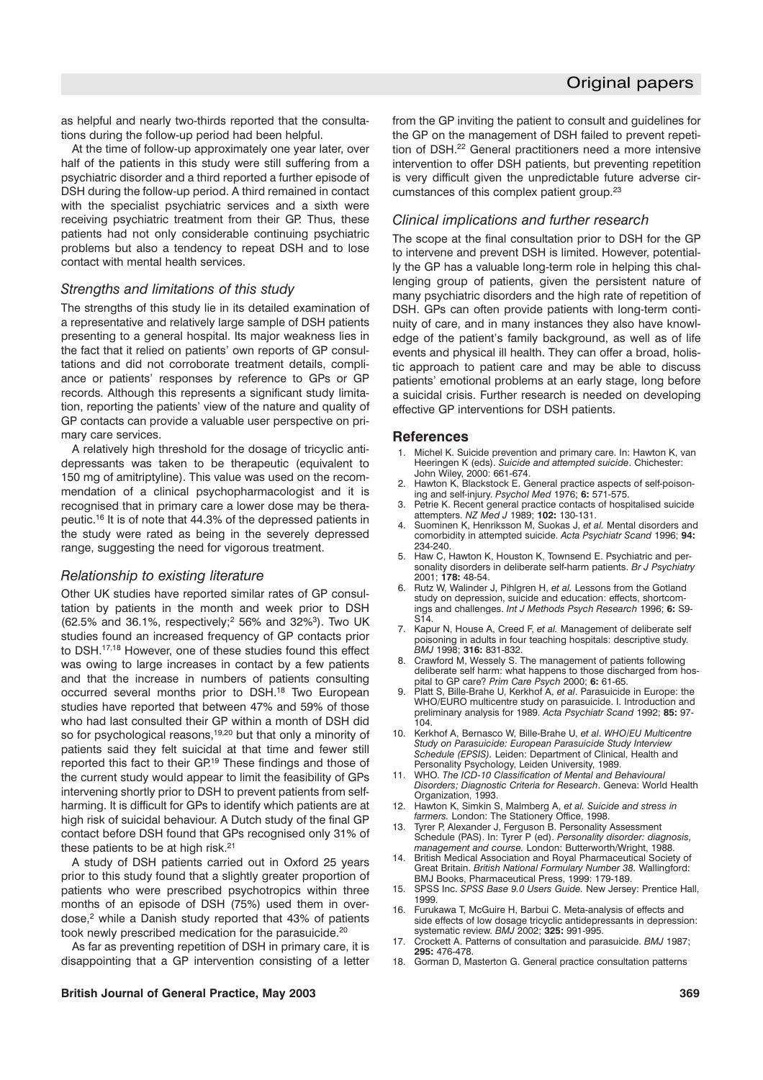as helpful and nearly two-thirds reported that the consultations during the follow-up period had been helpful.

At the time of follow-up approximately one year later, over half of the patients in this study were still suffering from a psychiatric disorder and a third reported a further episode of DSH during the follow-up period. A third remained in contact with the specialist psychiatric services and a sixth were receiving psychiatric treatment from their GP. Thus, these patients had not only considerable continuing psychiatric problems but also a tendency to repeat DSH and to lose contact with mental health services.

#### *Strengths and limitations of this study*

The strengths of this study lie in its detailed examination of a representative and relatively large sample of DSH patients presenting to a general hospital. Its major weakness lies in the fact that it relied on patients' own reports of GP consultations and did not corroborate treatment details, compliance or patients' responses by reference to GPs or GP records. Although this represents a significant study limitation, reporting the patients' view of the nature and quality of GP contacts can provide a valuable user perspective on primary care services.

A relatively high threshold for the dosage of tricyclic antidepressants was taken to be therapeutic (equivalent to 150 mg of amitriptyline). This value was used on the recommendation of a clinical psychopharmacologist and it is recognised that in primary care a lower dose may be therapeutic.16 It is of note that 44.3% of the depressed patients in the study were rated as being in the severely depressed range, suggesting the need for vigorous treatment.

#### *Relationship to existing literature*

Other UK studies have reported similar rates of GP consultation by patients in the month and week prior to DSH (62.5% and 36.1%, respectively;2 56% and 32%3). Two UK studies found an increased frequency of GP contacts prior to DSH.17,18 However, one of these studies found this effect was owing to large increases in contact by a few patients and that the increase in numbers of patients consulting occurred several months prior to DSH.18 Two European studies have reported that between 47% and 59% of those who had last consulted their GP within a month of DSH did so for psychological reasons,<sup>19,20</sup> but that only a minority of patients said they felt suicidal at that time and fewer still reported this fact to their GP.<sup>19</sup> These findings and those of the current study would appear to limit the feasibility of GPs intervening shortly prior to DSH to prevent patients from selfharming. It is difficult for GPs to identify which patients are at high risk of suicidal behaviour. A Dutch study of the final GP contact before DSH found that GPs recognised only 31% of these patients to be at high risk.<sup>21</sup>

A study of DSH patients carried out in Oxford 25 years prior to this study found that a slightly greater proportion of patients who were prescribed psychotropics within three months of an episode of DSH (75%) used them in overdose,<sup>2</sup> while a Danish study reported that 43% of patients took newly prescribed medication for the parasuicide.<sup>20</sup>

As far as preventing repetition of DSH in primary care, it is disappointing that a GP intervention consisting of a letter

from the GP inviting the patient to consult and guidelines for the GP on the management of DSH failed to prevent repetition of DSH.22 General practitioners need a more intensive intervention to offer DSH patients, but preventing repetition is very difficult given the unpredictable future adverse circumstances of this complex patient group.23

#### *Clinical implications and further research*

The scope at the final consultation prior to DSH for the GP to intervene and prevent DSH is limited. However, potentially the GP has a valuable long-term role in helping this challenging group of patients, given the persistent nature of many psychiatric disorders and the high rate of repetition of DSH. GPs can often provide patients with long-term continuity of care, and in many instances they also have knowledge of the patient's family background, as well as of life events and physical ill health. They can offer a broad, holistic approach to patient care and may be able to discuss patients' emotional problems at an early stage, long before a suicidal crisis. Further research is needed on developing effective GP interventions for DSH patients.

#### **References**

- 1. Michel K. Suicide prevention and primary care. In: Hawton K, van Heeringen K (eds). *Suicide and attempted suicide*. Chichester: John Wiley, 2000: 661-674.
- 2. Hawton K, Blackstock E. General practice aspects of self-poisoning and self-injury. *Psychol Med* 1976; **6:** 571-575.
- 3. Petrie K. Recent general practice contacts of hospitalised suicide attempters. *NZ Med J* 1989; **102:** 130-131.
- 4. Suominen K, Henriksson M, Suokas J, *et al.* Mental disorders and comorbidity in attempted suicide. *Acta Psychiatr Scand* 1996; **94:** 234-240.
- 5. Haw C, Hawton K, Houston K, Townsend E. Psychiatric and personality disorders in deliberate self-harm patients. *Br J Psychiatry* 2001; **178:** 48-54.
- 6. Rutz W, Walinder J, Pihlgren H, *et al.* Lessons from the Gotland study on depression, suicide and education: effects, shortcomings and challenges. *Int J Methods Psych Research* 1996; **6:** S9- S14.
- 7. Kapur N, House A, Creed F, *et al.* Management of deliberate self poisoning in adults in four teaching hospitals: descriptive study. *BMJ* 1998; **316:** 831-832.
- 8. Crawford M, Wessely S. The management of patients following deliberate self harm: what happens to those discharged from hospital to GP care? *Prim Care Psych* 2000; **6:** 61-65.
- 9. Platt S, Bille-Brahe U, Kerkhof A, *et al*. Parasuicide in Europe: the WHO/EURO multicentre study on parasuicide. I. Introduction and preliminary analysis for 1989. *Acta Psychiatr Scand* 1992; **85:** 97- 104.
- 10. Kerkhof A, Bernasco W, Bille-Brahe U, *et al*. *WHO/EU Multicentre Study on Parasuicide: European Parasuicide Study Interview Schedule (EPSIS).* Leiden: Department of Clinical, Health and Personality Psychology, Leiden University, 1989.
- 11. WHO. *The ICD-10 Classification of Mental and Behavioural Disorders; Diagnostic Criteria for Research*. Geneva: World Health Organization, 1993.
- 12. Hawton K, Simkin S, Malmberg A, *et al. Suicide and stress in farmers.* London: The Stationery Office, 1998.
- 13. Tyrer P, Alexander J, Ferguson B. Personality Assessment Schedule (PAS). In: Tyrer P (ed). *Personality disorder: diagnosis, management and course.* London: Butterworth/Wright, 1988.
- 14. British Medical Association and Royal Pharmaceutical Society of Great Britain. *British National Formulary Number 38.* Wallingford: BMJ Books, Pharmaceutical Press, 1999: 179-189.
- 15. SPSS Inc. *SPSS Base 9.0 Users Guide.* New Jersey: Prentice Hall, 1999.
- 16. Furukawa T, McGuire H, Barbui C. Meta-analysis of effects and side effects of low dosage tricyclic antidepressants in depression: systematic review. *BMJ* 2002; **325:** 991-995.
- 17. Crockett A. Patterns of consultation and parasuicide. *BMJ* 1987; **295:** 476-478.
- 18. Gorman D, Masterton G. General practice consultation patterns

#### **British Journal of General Practice, May 2003 369**